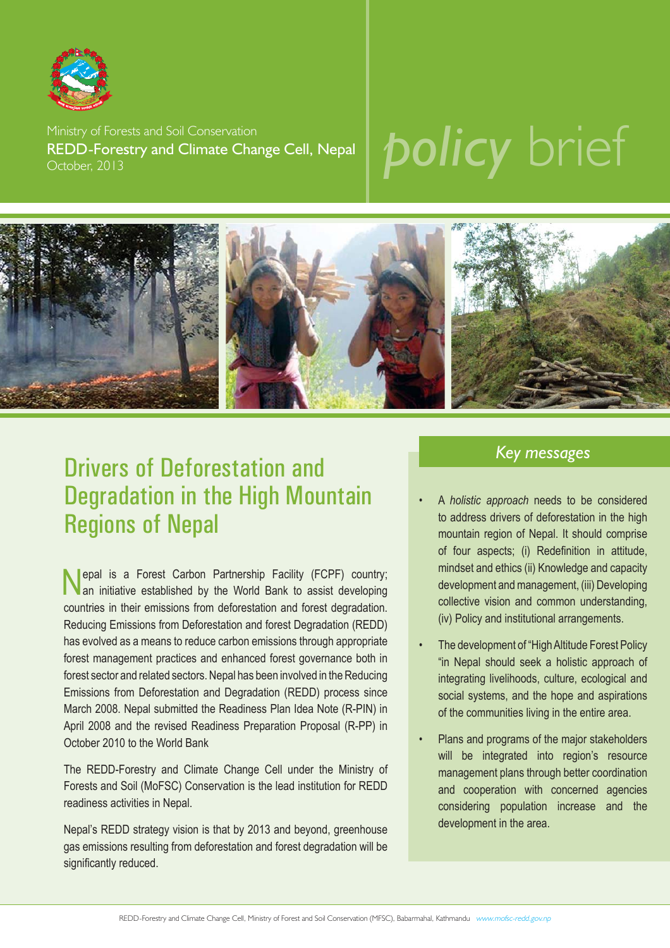

Ministry of Forests and Soil Conservation REDD-Forestry and Climate Change Cell, Nepal October, 2013

# *policy* brief



### Drivers of Deforestation and Degradation in the High Mountain Regions of Nepal

Nepal is a Forest Carbon Partnership Facility (FCPF) country; an initiative established by the World Bank to assist developing countries in their emissions from deforestation and forest degradation. Reducing Emissions from Deforestation and forest Degradation (REDD) has evolved as a means to reduce carbon emissions through appropriate forest management practices and enhanced forest governance both in forest sector and related sectors. Nepal has been involved in the Reducing Emissions from Deforestation and Degradation (REDD) process since March 2008. Nepal submitted the Readiness Plan Idea Note (R-PIN) in April 2008 and the revised Readiness Preparation Proposal (R-PP) in October 2010 to the World Bank

The REDD-Forestry and Climate Change Cell under the Ministry of Forests and Soil (MoFSC) Conservation is the lead institution for REDD readiness activities in Nepal.

Nepal's REDD strategy vision is that by 2013 and beyond, greenhouse gas emissions resulting from deforestation and forest degradation will be significantly reduced.

#### *Key messages*

- A *holistic approach* needs to be considered to address drivers of deforestation in the high mountain region of Nepal. It should comprise of four aspects; (i) Redefinition in attitude, mindset and ethics (ii) Knowledge and capacity development and management, (iii) Developing collective vision and common understanding, (iv) Policy and institutional arrangements.
- The development of "High Altitude Forest Policy "in Nepal should seek a holistic approach of integrating livelihoods, culture, ecological and social systems, and the hope and aspirations of the communities living in the entire area.
- Plans and programs of the major stakeholders will be integrated into region's resource management plans through better coordination and cooperation with concerned agencies considering population increase and the development in the area.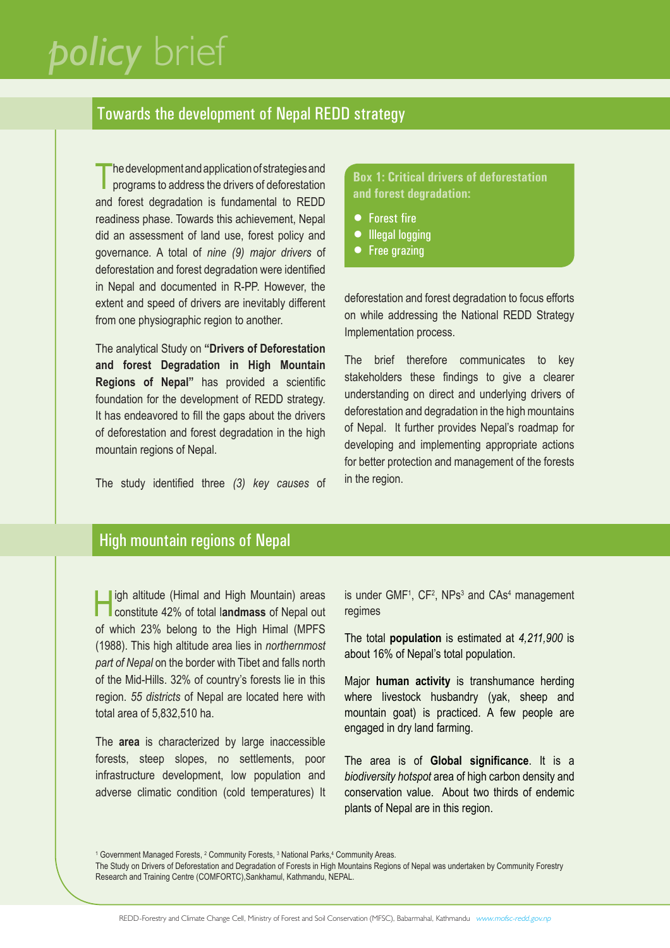### *policy* brief

#### Towards the development of Nepal REDD strategy

The development and application of strategies and<br>programs to address the drivers of deforestation and forest degradation is fundamental to REDD readiness phase. Towards this achievement, Nepal did an assessment of land use, forest policy and governance. A total of *nine (9) major drivers* of deforestation and forest degradation were identified in Nepal and documented in R-PP. However, the extent and speed of drivers are inevitably different from one physiographic region to another.

The analytical Study on **"Drivers of Deforestation and forest Degradation in High Mountain Regions of Nepal"** has provided a scientific foundation for the development of REDD strategy. It has endeavored to fill the gaps about the drivers of deforestation and forest degradation in the high mountain regions of Nepal.

The study identified three (3) key causes of

**Box 1: Critical drivers of deforestation and forest degradation:**

- Forest fire
- **•** Illegal logging
- Free grazing

deforestation and forest degradation to focus efforts on while addressing the National REDD Strategy Implementation process.

The brief therefore communicates to key stakeholders these findings to give a clearer understanding on direct and underlying drivers of deforestation and degradation in the high mountains of Nepal. It further provides Nepal's roadmap for developing and implementing appropriate actions for better protection and management of the forests in the region.

### High mountain regions of Nepal

High altitude (Himal and High Mountain) areas constitute 42% of total l**andmass** of Nepal out of which 23% belong to the High Himal (MPFS (1988). This high altitude area lies in *northernmost part of Nepal* on the border with Tibet and falls north of the Mid-Hills. 32% of country's forests lie in this region. *55 districts* of Nepal are located here with total area of 5,832,510 ha.

The **area** is characterized by large inaccessible forests, steep slopes, no settlements, poor infrastructure development, low population and adverse climatic condition (cold temperatures) It

is under  $GMF<sup>1</sup>$ ,  $CF<sup>2</sup>$ , NPs<sup>3</sup> and  $CAs<sup>4</sup>$  management regimes

The total **population** is estimated at *4,211,900* is about 16% of Nepal's total population.

Major **human activity** is transhumance herding where livestock husbandry (yak, sheep and mountain goat) is practiced. A few people are engaged in dry land farming.

The area is of **Global significance**. It is a *biodiversity hotspot* area of high carbon density and conservation value. About two thirds of endemic plants of Nepal are in this region.

<sup>1</sup> Government Managed Forests, <sup>2</sup> Community Forests, <sup>3</sup> National Parks, <sup>4</sup> Community Areas.

The Study on Drivers of Deforestation and Degradation of Forests in High Mountains Regions of Nepal was undertaken by Community Forestry Research and Training Centre (COMFORTC),Sankhamul, Kathmandu, NEPAL.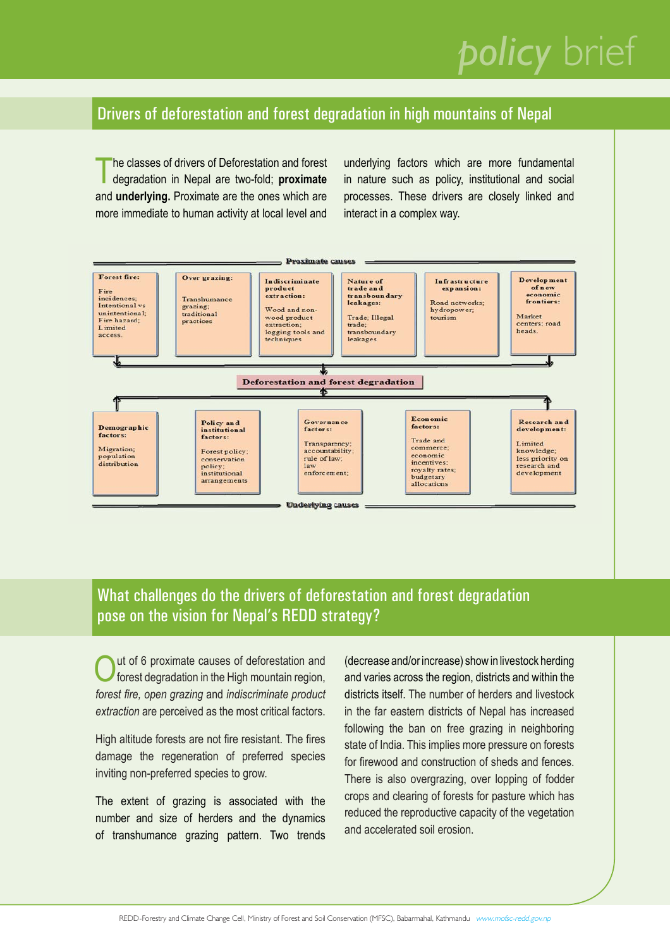## *policy* brief

#### Drivers of deforestation and forest degradation in high mountains of Nepal

The classes of drivers of Deforestation and forest<br>degradation in Nepal are two-fold; **proximate** and **underlying.** Proximate are the ones which are more immediate to human activity at local level and underlying factors which are more fundamental in nature such as policy, institutional and social processes. These drivers are closely linked and interact in a complex way.



### What challenges do the drivers of deforestation and forest degradation pose on the vision for Nepal's REDD strategy?

Out of 6 proximate causes of deforestation and<br>forest degradation in the High mountain region, *forest fi re, open grazing* and *indiscriminate product extraction* are perceived as the most critical factors.

High altitude forests are not fire resistant. The fires damage the regeneration of preferred species inviting non-preferred species to grow.

The extent of grazing is associated with the number and size of herders and the dynamics of transhumance grazing pattern. Two trends (decrease and/or increase) show in livestock herding and varies across the region, districts and within the districts itself. The number of herders and livestock in the far eastern districts of Nepal has increased following the ban on free grazing in neighboring state of India. This implies more pressure on forests for firewood and construction of sheds and fences There is also overgrazing, over lopping of fodder crops and clearing of forests for pasture which has reduced the reproductive capacity of the vegetation and accelerated soil erosion.